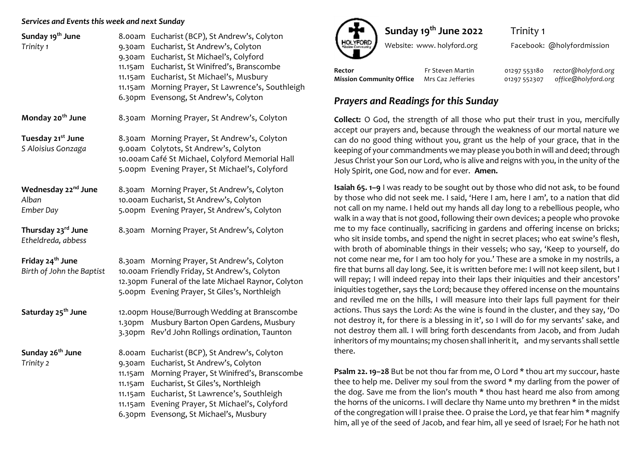#### *Services and Events this week and next Sunday*

| Sunday 19 <sup>th</sup> June<br>Trinity 1                 | 9.30am<br>9.30am<br>11.15am<br>11.15am<br>11.15am<br>6.30pm  | 8.00am Eucharist (BCP), St Andrew's, Colyton<br>Eucharist, St Andrew's, Colyton<br>Eucharist, St Michael's, Colyford<br>Eucharist, St Winifred's, Branscombe<br>Eucharist, St Michael's, Musbury<br>Morning Prayer, St Lawrence's, Southleigh<br>Evensong, St Andrew's, Colyton        |
|-----------------------------------------------------------|--------------------------------------------------------------|----------------------------------------------------------------------------------------------------------------------------------------------------------------------------------------------------------------------------------------------------------------------------------------|
| Monday 20 <sup>th</sup> June                              |                                                              | 8.30am Morning Prayer, St Andrew's, Colyton                                                                                                                                                                                                                                            |
| Tuesday 21 <sup>st</sup> June<br>S Aloisius Gonzaga       |                                                              | 8.30am Morning Prayer, St Andrew's, Colyton<br>9.00am Colytots, St Andrew's, Colyton<br>10.00am Café St Michael, Colyford Memorial Hall<br>5.00pm Evening Prayer, St Michael's, Colyford                                                                                               |
| Wednesday 22 <sup>nd</sup> June<br>Alban<br>Ember Day     |                                                              | 8.30am Morning Prayer, St Andrew's, Colyton<br>10.00am Eucharist, St Andrew's, Colyton<br>5.00pm Evening Prayer, St Andrew's, Colyton                                                                                                                                                  |
| Thursday 23 <sup>rd</sup> June<br>Etheldreda, abbess      |                                                              | 8.30am Morning Prayer, St Andrew's, Colyton                                                                                                                                                                                                                                            |
| Friday 24 <sup>th</sup> June<br>Birth of John the Baptist |                                                              | 8.30am Morning Prayer, St Andrew's, Colyton<br>10.00am Friendly Friday, St Andrew's, Colyton<br>12.30pm Funeral of the late Michael Raynor, Colyton<br>5.00pm Evening Prayer, St Giles's, Northleigh                                                                                   |
| Saturday 25 <sup>th</sup> June                            | 1.30pm<br>3.30pm                                             | 12.00pm House/Burrough Wedding at Branscombe<br>Musbury Barton Open Gardens, Musbury<br>Rev'd John Rollings ordination, Taunton                                                                                                                                                        |
| Sunday 26 <sup>th</sup> June<br>Trinity 2                 | 9.30am<br>11.15am<br>11.15am<br>11.15am<br>11.15am<br>6.30pm | 8.00am Eucharist (BCP), St Andrew's, Colyton<br>Eucharist, St Andrew's, Colyton<br>Morning Prayer, St Winifred's, Branscombe<br>Eucharist, St Giles's, Northleigh<br>Eucharist, St Lawrence's, Southleigh<br>Evening Prayer, St Michael's, Colyford<br>Evensong, St Michael's, Musbury |



# **Sunday 19th June 2022** Trinity 1

Website: www. holyford.org Facebook: @holyfordmission

**Rector** *Fr* **Steven Martin** 01297 553180 *rector@holyford.org* **Mission Community Office** Mrs Caz Jefferies 01297 552307 office@holyford.org **Mission Community Office** Mrs Caz Jefferies 01297 552307

## *Prayers and Readings for this Sunday*

**Collect:** O God, the strength of all those who put their trust in you, mercifully accept our prayers and, because through the weakness of our mortal nature we can do no good thing without you, grant us the help of your grace, that in the keeping of your commandments we may please you both in will and deed; through Jesus Christ your Son our Lord, who is alive and reigns with you, in the unity of the Holy Spirit, one God, now and for ever. **Amen.**

**Isaiah 65. 1–9** I was ready to be sought out by those who did not ask, to be found by those who did not seek me. I said, 'Here I am, here I am', to a nation that did not call on my name. I held out my hands all day long to a rebellious people, who walk in a way that is not good, following their own devices; a people who provoke me to my face continually, sacrificing in gardens and offering incense on bricks; who sit inside tombs, and spend the night in secret places; who eat swine's flesh, with broth of abominable things in their vessels; who say, 'Keep to yourself, do not come near me, for I am too holy for you.' These are a smoke in my nostrils, a fire that burns all day long. See, it is written before me: I will not keep silent, but I will repay; I will indeed repay into their laps their iniquities and their ancestors' iniquities together, says the Lord; because they offered incense on the mountains and reviled me on the hills, I will measure into their laps full payment for their actions. Thus says the Lord: As the wine is found in the cluster, and they say, 'Do not destroy it, for there is a blessing in it', so I will do for my servants' sake, and not destroy them all. I will bring forth descendants from Jacob, and from Judah inheritors of my mountains; my chosen shall inherit it, and my servants shall settle there.

**Psalm 22. 19–28** But be not thou far from me, O Lord \* thou art my succour, haste thee to help me. Deliver my soul from the sword \* my darling from the power of the dog. Save me from the lion's mouth \* thou hast heard me also from among the horns of the unicorns. I will declare thy Name unto my brethren \* in the midst of the congregation will I praise thee. O praise the Lord, ye that fear him \* magnify him, all ye of the seed of Jacob, and fear him, all ye seed of Israel; For he hath not